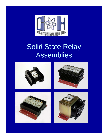

# Solid State Relay Assemblies

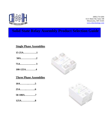

## **Solid State Relay Assembly Product Selection Guide**

#### **Single Phase Assemblies**

- **15-25A…………….1**
- **50A……………….2**
- **75A………………. 3**
- **100-125A…………4**

#### **Three Phase Assemblies**

- **10A………..……..5**
- **25A……..………..6**
- **50-100A………….7**
- **125A……………..8**



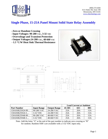

#### **Single Phase, 15-25A Panel Mount Solid State Relay Assembly**

- **Zero or Random Crossing**
- **Input Voltages: 90-280 VAC, 3-32 VDC**
- **Overvoltage and Transient Protection**
- **Output Voltages:24-280 VAC, 48-660 VAC**
- **1.5 °C/W Heat Sink Thermal Resistance**







|                    |                    |                     | <b>Load Current at Ambient</b> |     |            |
|--------------------|--------------------|---------------------|--------------------------------|-----|------------|
| <b>Part Number</b> | <b>Input Range</b> | <b>Output Range</b> | 45-50C                         | 65C | <b>80C</b> |
| CHASSR25N24-90     | 90-280 VAC         | 24-280 VAC          | 25A                            | 20A | 15A        |
| CHASSR25N24-3      | 3-32 VDC           | 24-280 VAC          | 25A                            | 20A | 15A        |
| CHASSR25N48-90     | 90-280 VAC         | 48-660 VAC          | 25A                            | 20A | 15A        |
| CHASSR25N48-3      | 3-32 VDC           | 48-660 VAC          | 25A                            | 20A | 15A        |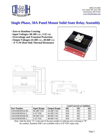

## **Single Phase, 50A Panel Mount Solid State Relay Assembly**

- **Zero or Random Crossing**
- **Input Voltages: 90-280 VAC, 3-32 VDC**
- **Overvoltage and Transient Protection**
- **Output Voltages:24-280 VAC, 48-660 VAC**
- **.9 °C/W Heat Sink Thermal Resistance**





|                    |                    |                     | <b>Load Current at Ambient</b> |            |     |
|--------------------|--------------------|---------------------|--------------------------------|------------|-----|
| <b>Part Number</b> | <b>Input Range</b> | <b>Output Range</b> | 40C                            | <b>50C</b> | 65C |
| CHASSR50N24-90     | 90-280 VAC         | 24-280 VAC          | 50A                            | 45C        | 35C |
| CHASSR50N24-3      | 3-32 VDC           | 24-280 VAC          | 50A                            | 45C        | 35C |
| CHASSR50N48-90     | 90-280 VAC         | 48-660 VAC          | 50A                            | 45C        | 35C |
| $CHASSR50N48-3.$ . | 3-32 VDC           | 48-660 VAC          | 50A                            | 45C        | 35C |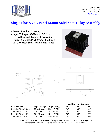

## **Single Phase, 75A Panel Mount Solid State Relay Assembly**

- **Zero or Random Crossing**
- **Input Voltages: 90-280 VAC, 3-32 VDC**
- **Overvoltage and Transient Protection**
- **Output Voltages:24-280 VAC, 48-660 VAC**
- **.6 °C/W Heat Sink Thermal Resistance**





|                    |                    |                     | <b>Load Current at Ambient</b> |     |            |
|--------------------|--------------------|---------------------|--------------------------------|-----|------------|
| <b>Part Number</b> | <b>Input Range</b> | <b>Output Range</b> | 40C                            | 55C | <b>65C</b> |
| CHASSR75N24-90     | 90-280 VAC         | 24-280 VAC          | 75A                            | 60A | 55A        |
| CHASSR75N24-3      | 3-32 VDC           | 24-280 VAC          | 75A                            | 60A | 55A        |
| CHASSR75N48-90     | 90-280 VAC         | 48-660 VAC          | 75A                            | 60A | 55A        |
| $CHASSR75N48-3$    | 3-32 VDC           | 48-660 VAC          | 75A                            | 60A | 55A        |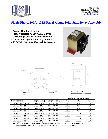

#### **Single Phase, 100A, 125A Panel Mount Solid State Relay Assembly**

- **Zero or Random Crossing**
- **Input Voltages: 90-280 VAC, 3-32 VDC**
- **Overvoltage and Transient Protection**
- **Output Voltages:24-280 VAC, 48-660 VAC**
- **.22 °C/W Heat Sink Thermal Resistance**





|                    |                    |                     | <b>Load Current at Ambient</b> |      |            |
|--------------------|--------------------|---------------------|--------------------------------|------|------------|
| <b>Part Number</b> | <b>Input Range</b> | <b>Output Range</b> | 45C                            | 60C  | <b>70C</b> |
| CHASSR100F24-90    | 90-280 VAC         | 24-280 VAC          | 100A                           | 90A  | 75A        |
| CHASSR100F24-3     | 3-32 VDC           | 24-280 VAC          | 100A                           | 90A  | 75A        |
| CHASSR100F48-90    | 90-280 VAC         | 48-660 VAC          | 100A                           | 90A  | 75A        |
| CHASSR100F48-3     | 3-32 VDC           | 48-660 VAC          | 100A                           | 90A  | 75A        |
| CHASSR125F24-90    | 90-280 VAC         | 24-280 VAC          | 125A                           | 112A | 90A        |
| CHASSR125F24-3     | 3-32 VDC           | 24-280 VAC          | 125A                           | 112A | 90A        |
| CHASSR125F48-90    | 90-280 VAC         | 48-660 VAC          | 125A                           | 112A | 90A        |
| CHASSR125F48-3     | 3-32 VDC           | 48-660 VAC          | 125A                           | 112A | 90A        |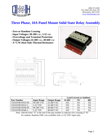

## **Three Phase, 10A Panel Mount Solid State Relay Assembly**

- **Zero or Random Crossing**
- **Input Voltages: 90-280 VAC, 3-32 VDC**
- **Overvoltage and Transient Protection**
- **Output Voltages:24-280 VAC, 48-660 VAC**
- **.9 °C/W Heat Sink Thermal Resistance**



 $r.125$ 



|                    |                    |                     | <b>Load Current at Ambient</b> |           |            |
|--------------------|--------------------|---------------------|--------------------------------|-----------|------------|
| <b>Part Number</b> | <b>Input Range</b> | <b>Output Range</b> | 45-60C                         | 75C       | <b>80C</b> |
| CHASS3R10N24-90    | 90-280 VAC         | 24-280 VAC          | 10A                            | <b>9A</b> | 8A         |
| CHASS3R10N24-3.    | 3-32 VDC           | 24-280 VAC          | 10A                            | <b>9A</b> | 8Α         |
| CHASS3R10N48-90    | 90-280 VAC         | 48-660 VAC          | 10A                            | 9Α        | 8Α         |
| CHASS3R10N48-3.    | 3-32 VDC           | 48-660 VAC          | 10A                            | 9Α        | 8A         |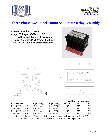

## **Three Phase, 25A Panel Mount Solid State Relay Assembly**

- **Zero or Random Crossing**
- **Input Voltages: 90-280 VAC, 3-32 VDC**
- **Overvoltage and Transient Protection**
- **Output Voltages:24-280 VAC, 48-660 VAC**
- **.6 °C/W Heat Sink Thermal Resistance**





|                    |                    |                     | <b>Load Current at Ambient</b> |            |     |
|--------------------|--------------------|---------------------|--------------------------------|------------|-----|
| <b>Part Number</b> | <b>Input Range</b> | <b>Output Range</b> | 45-70C                         | <b>75C</b> | 80C |
| CHASS3R25N24-90    | 90-280 VAC         | 24-280 VAC          | 25A                            | 23A        | 20A |
| CHASS3R25N24-3.    | 3-32 VDC           | 24-280 VAC          | 25A                            | 23A        | 20A |
| CHASS3R25N48-90    | 90-280 VAC         | 48-660 VAC          | 25A                            | 23A        | 20A |
| CHASS3R25N48-3.    | 3-32 VDC           | 48-660 VAC          | 25A                            | 23A        | 20A |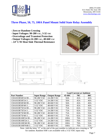

#### **Three Phase, 50, 75, 100A Panel Mount Solid State Relay Assembly**

- **Zero or Random Crossing**
- **Input Voltages: 90-280 VAC, 3-32 VDC**
- **Overvoltage and Transient Protection**
- **Output Voltages:24-280 VAC, 48-660 VAC**
- **.14° C/W Heat Sink Thermal Resistance**







|                    |                    |                     | <b>Load Current at Ambient</b> |            |            |
|--------------------|--------------------|---------------------|--------------------------------|------------|------------|
| <b>Part Number</b> | <b>Input Range</b> | <b>Output Range</b> | 45-60C                         | <b>70C</b> | <b>80C</b> |
| CHASS3R50F24-90    | 90-280 VAC         | 24-280 VAC          | 50A                            | 45A        | 40A        |
| CHASS3R50F24-3     | 3-32 VDC           | 24-280 VAC          | 50A                            | 45A        | 40A        |
| CHASS3R50F48-90    | 90-280 VAC         | 48-660 VAC          | 50A                            | 45A        | 40A        |
| CHASS3R50F48-3     | 3-32 VDC           | 48-660 VAC          | 50A                            | 45A        | 40A        |
| CHASS3R75F24-90    | 90-280 VAC         | 24-280 VAC          | 75A                            | 65A        | 55A        |
| CHASS3R75F24-3     | 3-32 VDC           | 24-280 VAC          | 75A                            | 65A        | 55A        |
| CHASS3R75F48-90    | 90-280 VAC         | 48-660 VAC          | 75A                            | 65A        | 55A        |
| CHASS3R75F48-3     | 3-32 VDC           | 48-660 VAC          | 75A                            | 65A        | 55A        |
| CHASS3R100F24-90   | 90-280 VAC         | 24-280 VAC          | 100A                           | 70A        | 55A        |
| CHASS3R100F24-3    | 3-32 VDC           | 24-280 VAC          | 100A                           | 70A        | 55A        |
| CHASS3R100F48-90   | 90-280 VAC         | 48-660 VAC          | 100A                           | 70A        | 55A        |
| CHASS3R100FN48-3   | 3-32 VDC           | 48-660 VAC          | 100A                           | 70A        | 55A        |